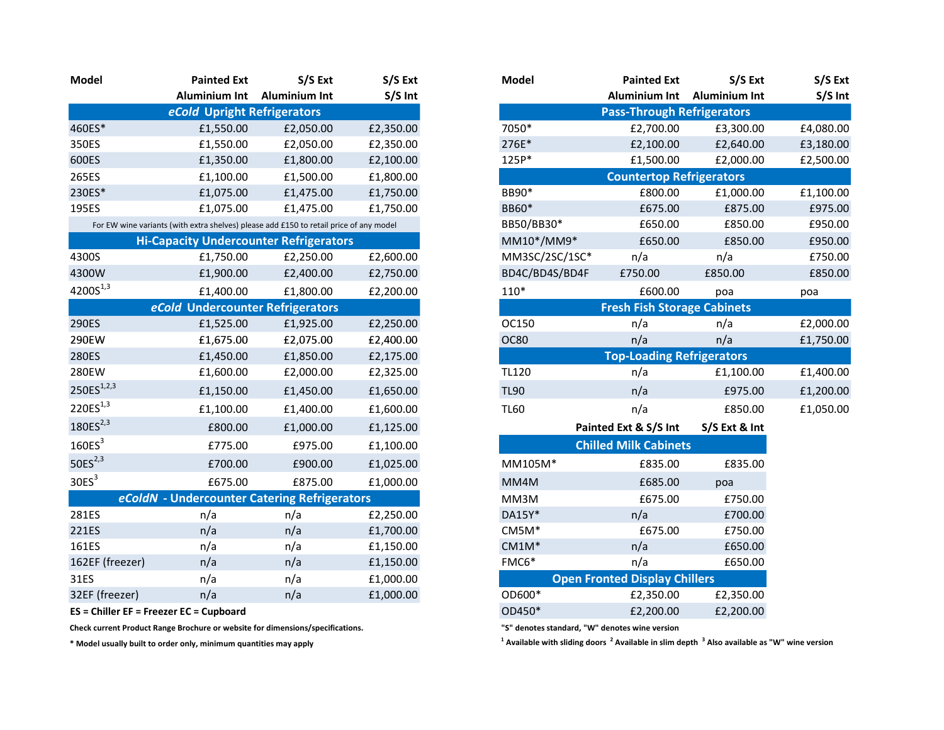| Model                  | <b>Painted Ext</b>                                                                     | S/S Ext              | S/S Ext   |
|------------------------|----------------------------------------------------------------------------------------|----------------------|-----------|
|                        | <b>Aluminium Int</b>                                                                   | <b>Aluminium Int</b> | S/S Int   |
|                        | eCold Upright Refrigerators                                                            |                      |           |
| 460ES*                 | £1,550.00                                                                              | £2,050.00            | £2,350.00 |
| 350ES                  | £1,550.00                                                                              | £2,050.00            | £2,350.00 |
| 600ES                  | £1,350.00                                                                              | £1,800.00            | £2,100.00 |
| 265ES                  | £1,100.00                                                                              | £1,500.00            | £1,800.00 |
| 230ES*                 | £1,075.00                                                                              | £1,475.00            | £1,750.00 |
| 195ES                  | £1,075.00                                                                              | £1,475.00            | £1,750.00 |
|                        | For EW wine variants (with extra shelves) please add £150 to retail price of any model |                      |           |
|                        | <b>Hi-Capacity Undercounter Refrigerators</b>                                          |                      |           |
| 4300S                  | £1,750.00                                                                              | £2,250.00            | £2,600.00 |
| 4300W                  | £1,900.00                                                                              | £2,400.00            | £2,750.00 |
| 4200S <sup>1,3</sup>   | £1,400.00                                                                              | £1,800.00            | £2,200.00 |
|                        | eCold Undercounter Refrigerators                                                       |                      |           |
| 290ES                  | £1,525.00                                                                              | £1,925.00            | £2,250.00 |
| 290EW                  | £1,675.00                                                                              | £2,075.00            | £2,400.00 |
| 280ES                  | £1,450.00                                                                              | £1,850.00            | £2,175.00 |
| 280EW                  | £1,600.00                                                                              | £2,000.00            | £2,325.00 |
| 250ES <sup>1,2,3</sup> | £1,150.00                                                                              | £1,450.00            | £1,650.00 |
| 220ES <sup>1,3</sup>   | £1,100.00                                                                              | £1,400.00            | £1,600.00 |
| 180ES <sup>2,3</sup>   | £800.00                                                                                | £1,000.00            | £1,125.00 |
| 160ES <sup>3</sup>     | £775.00                                                                                | £975.00              | £1,100.00 |
| 50 $ES2,3$             | £700.00                                                                                | £900.00              | £1,025.00 |
| 30ES <sup>3</sup>      | £675.00                                                                                | £875.00              | £1,000.00 |
|                        | eColdN - Undercounter Catering Refrigerators                                           |                      |           |
| 281ES                  | n/a                                                                                    | n/a                  | £2,250.00 |
| 221ES                  | n/a                                                                                    | n/a                  | £1,700.00 |
| 161ES                  | n/a                                                                                    | n/a                  | £1,150.00 |
| 162EF (freezer)        | n/a                                                                                    | n/a                  | £1,150.00 |
| 31ES                   | n/a                                                                                    | n/a                  | £1,000.00 |
| 32EF (freezer)         | n/a                                                                                    | n/a                  | £1,000.00 |
|                        |                                                                                        |                      |           |

Check current Product Range Brochure or website for dimensions/specifications. "S" denotes standard, "W" denotes wine version

\* Model usually built to order only, minimum quantities may apply <sup>1</sup>

| Model                                                                                  | <b>Painted Ext</b>                            | S/S Ext              | S/S Ext   | <b>Model</b>                         | <b>Painted Ext</b>                 | S/S Ext              |  |  |  |
|----------------------------------------------------------------------------------------|-----------------------------------------------|----------------------|-----------|--------------------------------------|------------------------------------|----------------------|--|--|--|
|                                                                                        | <b>Aluminium Int</b>                          | <b>Aluminium Int</b> | S/S Int   |                                      | Aluminium Int                      | <b>Aluminium Int</b> |  |  |  |
|                                                                                        | eCold Upright Refrigerators                   |                      |           |                                      | <b>Pass-Through Refrigerators</b>  |                      |  |  |  |
| 460ES*                                                                                 | £1,550.00                                     | £2,050.00            | £2,350.00 | 7050*                                | £2,700.00                          | £3,300.00            |  |  |  |
| 350ES                                                                                  | £1,550.00                                     | £2,050.00            | £2,350.00 | 276E*                                | £2,100.00                          | £2,640.00            |  |  |  |
| 600ES                                                                                  | £1,350.00                                     | £1,800.00            | £2,100.00 | 125P*                                | £1,500.00                          | £2,000.00            |  |  |  |
| 265ES                                                                                  | £1,100.00                                     | £1,500.00            | £1,800.00 |                                      | <b>Countertop Refrigerators</b>    |                      |  |  |  |
| 230ES*                                                                                 | £1,075.00                                     | £1,475.00            | £1,750.00 | BB90*                                | £800.00                            | £1,000.00            |  |  |  |
| 195ES                                                                                  | £1,075.00                                     | £1,475.00            | £1,750.00 | BB60*                                | £675.00                            | £875.00              |  |  |  |
| For EW wine variants (with extra shelves) please add £150 to retail price of any model |                                               |                      |           | BB50/BB30*                           | £650.00                            | £850.00              |  |  |  |
|                                                                                        | <b>Hi-Capacity Undercounter Refrigerators</b> |                      |           | MM10*/MM9*                           | £650.00                            | £850.00              |  |  |  |
| 4300S                                                                                  | £1,750.00                                     | £2,250.00            | £2,600.00 | MM3SC/2SC/1SC*                       | n/a                                | n/a                  |  |  |  |
| 4300W                                                                                  | £1,900.00                                     | £2,400.00            | £2,750.00 | BD4C/BD4S/BD4F                       | £750.00                            | £850.00              |  |  |  |
| $4200S^{1,3}$                                                                          | £1,400.00                                     | £1,800.00            | £2,200.00 | $110*$                               | £600.00                            | poa                  |  |  |  |
|                                                                                        | eCold Undercounter Refrigerators              |                      |           |                                      | <b>Fresh Fish Storage Cabinets</b> |                      |  |  |  |
| 290ES                                                                                  | £1,525.00                                     | £1,925.00            | £2,250.00 | OC150                                | n/a                                | n/a                  |  |  |  |
| 290EW                                                                                  | £1,675.00                                     | £2,075.00            | £2,400.00 | <b>OC80</b>                          | n/a                                | n/a                  |  |  |  |
| 280ES                                                                                  | £1,450.00                                     | £1,850.00            | £2,175.00 | <b>Top-Loading Refrigerators</b>     |                                    |                      |  |  |  |
| 280EW                                                                                  | £1,600.00                                     | £2,000.00            | £2,325.00 | <b>TL120</b>                         | n/a                                | £1,100.00            |  |  |  |
| $250ES^{1,2,3}$                                                                        | £1,150.00                                     | £1,450.00            | £1,650.00 | <b>TL90</b>                          | n/a                                | £975.00              |  |  |  |
| $220ES^{1,3}$                                                                          | £1,100.00                                     | £1,400.00            | £1,600.00 | <b>TL60</b>                          | n/a                                | £850.00              |  |  |  |
| $180ES^{2,3}$                                                                          | £800.00                                       | £1,000.00            | £1,125.00 |                                      | Painted Ext & S/S Int              | S/S Ext & Int        |  |  |  |
| 160ES <sup>3</sup>                                                                     | £775.00                                       | £975.00              | £1,100.00 |                                      | <b>Chilled Milk Cabinets</b>       |                      |  |  |  |
| 50ES $^{2,3}$                                                                          | £700.00                                       | £900.00              | £1,025.00 | MM105M*                              | £835.00                            | £835.00              |  |  |  |
| 30ES <sup>3</sup>                                                                      | £675.00                                       | £875.00              | £1,000.00 | MM4M                                 | £685.00                            | poa                  |  |  |  |
|                                                                                        | eColdN - Undercounter Catering Refrigerators  |                      |           | MM3M                                 | £675.00                            | £750.00              |  |  |  |
| 281ES                                                                                  | n/a                                           | n/a                  | £2,250.00 | DA15Y*                               | n/a                                | £700.00              |  |  |  |
| 221ES                                                                                  | n/a                                           | n/a                  | £1,700.00 | CM5M*                                | £675.00                            | £750.00              |  |  |  |
| 161ES                                                                                  | n/a                                           | n/a                  | £1,150.00 | $CM1M*$                              | n/a                                | £650.00              |  |  |  |
| 162EF (freezer)                                                                        | n/a                                           | n/a                  | £1,150.00 | FMC6*                                | n/a                                | £650.00              |  |  |  |
| 31ES                                                                                   | n/a                                           | n/a                  | £1,000.00 | <b>Open Fronted Display Chillers</b> |                                    |                      |  |  |  |
| 32EF (freezer)                                                                         | n/a                                           | n/a                  | £1,000.00 | OD600*                               | £2,350.00                          | £2,350.00            |  |  |  |
|                                                                                        | ES = Chiller EF = Freezer EC = Cupboard       |                      |           | OD450*                               | £2,200.00                          | £2,200.00            |  |  |  |
|                                                                                        |                                               |                      |           |                                      |                                    |                      |  |  |  |

Available with sliding doors <sup>2</sup> Available in slim depth <sup>3</sup> Also available as "W" wine version